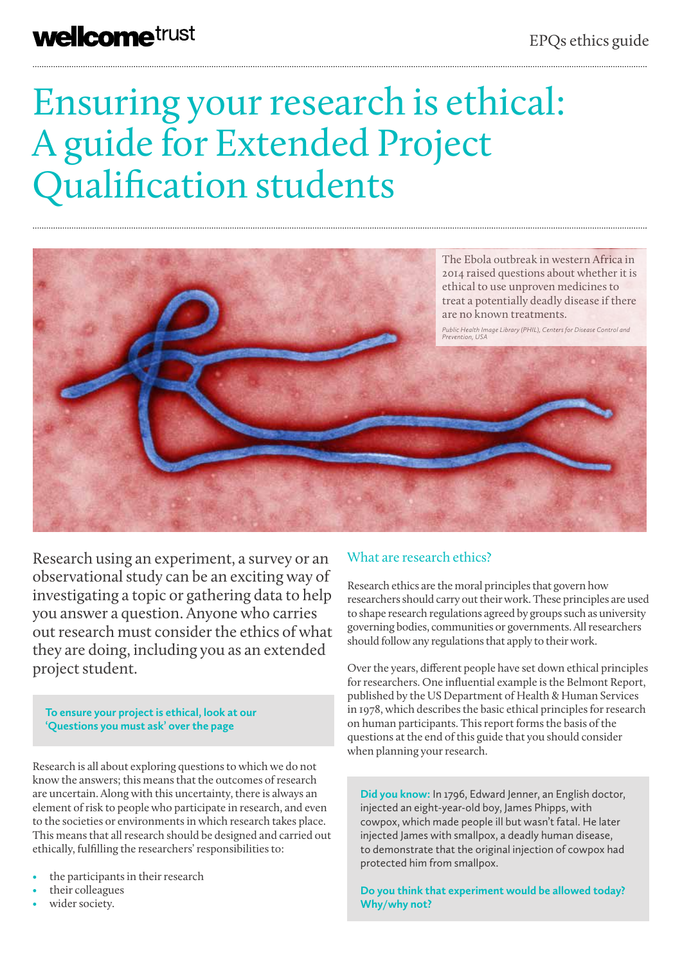# Ensuring your research is ethical: A guide for Extended Project Qualification students



Research using an experiment, a survey or an observational study can be an exciting way of investigating a topic or gathering data to help you answer a question. Anyone who carries out research must consider the ethics of what they are doing, including you as an extended project student.

**To ensure your project is ethical, look at our 'Questions you must ask' over the page**

Research is all about exploring questions to which we do not know the answers; this means that the outcomes of research are uncertain. Along with this uncertainty, there is always an element of risk to people who participate in research, and even to the societies or environments in which research takes place. This means that all research should be designed and carried out ethically, fulfilling the researchers' responsibilities to:

- the participants in their research
- their colleagues
- wider society.

## What are research ethics?

Research ethics are the moral principles that govern how researchers should carry out their work. These principles are used to shape research regulations agreed by groups such as university governing bodies, communities or governments. All researchers should follow any regulations that apply to their work.

Over the years, different people have set down ethical principles for researchers. One influential example is the Belmont Report, published by the US Department of Health & Human Services in 1978, which describes the basic ethical principles for research on human participants. This report forms the basis of the questions at the end of this guide that you should consider when planning your research.

**Did you know:** In 1796, Edward Jenner, an English doctor, injected an eight-year-old boy, James Phipps, with cowpox, which made people ill but wasn't fatal. He later injected James with smallpox, a deadly human disease, to demonstrate that the original injection of cowpox had protected him from smallpox.

**Do you think that experiment would be allowed today? Why/why not?**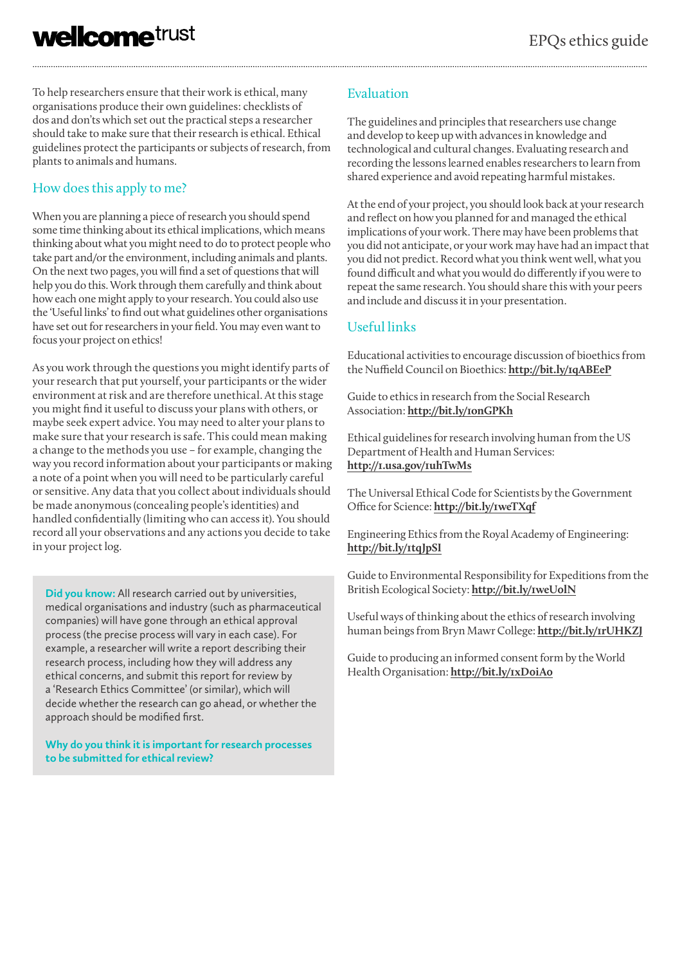To help researchers ensure that their work is ethical, many organisations produce their own guidelines: checklists of dos and don'ts which set out the practical steps a researcher should take to make sure that their research is ethical. Ethical guidelines protect the participants or subjects of research, from plants to animals and humans.

## How does this apply to me?

When you are planning a piece of research you should spend some time thinking about its ethical implications, which means thinking about what you might need to do to protect people who take part and/or the environment, including animals and plants. On the next two pages, you will find a set of questions that will help you do this. Work through them carefully and think about how each one might apply to your research. You could also use the 'Useful links' to find out what guidelines other organisations have set out for researchers in your field. You may even want to focus your project on ethics!

As you work through the questions you might identify parts of your research that put yourself, your participants or the wider environment at risk and are therefore unethical. At this stage you might find it useful to discuss your plans with others, or maybe seek expert advice. You may need to alter your plans to make sure that your research is safe. This could mean making a change to the methods you use – for example, changing the way you record information about your participants or making a note of a point when you will need to be particularly careful or sensitive. Any data that you collect about individuals should be made anonymous (concealing people's identities) and handled confidentially (limiting who can access it). You should record all your observations and any actions you decide to take in your project log.

**Did you know:** All research carried out by universities, medical organisations and industry (such as pharmaceutical companies) will have gone through an ethical approval process (the precise process will vary in each case). For example, a researcher will write a report describing their research process, including how they will address any ethical concerns, and submit this report for review by a 'Research Ethics Committee' (or similar), which will decide whether the research can go ahead, or whether the approach should be modified first.

#### **Why do you think it is important for research processes to be submitted for ethical review?**

## Evaluation

The guidelines and principles that researchers use change and develop to keep up with advances in knowledge and technological and cultural changes. Evaluating research and recording the lessons learned enables researchers to learn from shared experience and avoid repeating harmful mistakes.

At the end of your project, you should look back at your research and reflect on how you planned for and managed the ethical implications of your work. There may have been problems that you did not anticipate, or your work may have had an impact that you did not predict. Record what you think went well, what you found difficult and what you would do differently if you were to repeat the same research. You should share this with your peers and include and discuss it in your presentation.

### Useful links

Educational activities to encourage discussion of bioethics from the Nuffield Council on Bioethics: **http://bit.ly/1qABEeP**

Guide to ethics in research from the Social Research Association: **http://bit.ly/1onGPKh**

Ethical guidelines for research involving human from the US Department of Health and Human Services: **http://1.usa.gov/1uhTwMs**

The Universal Ethical Code for Scientists by the Government Office for Science: **http://bit.ly/1weTXqf**

Engineering Ethics from the Royal Academy of Engineering: **http://bit.ly/1tqJpSI**

Guide to Environmental Responsibility for Expeditions from the British Ecological Society: **http://bit.ly/1weU0lN**

Useful ways of thinking about the ethics of research involving human beings from Bryn Mawr College: **http://bit.ly/1rUHKZJ**

Guide to producing an informed consent form by the World Health Organisation: **http://bit.ly/1xD0iA0**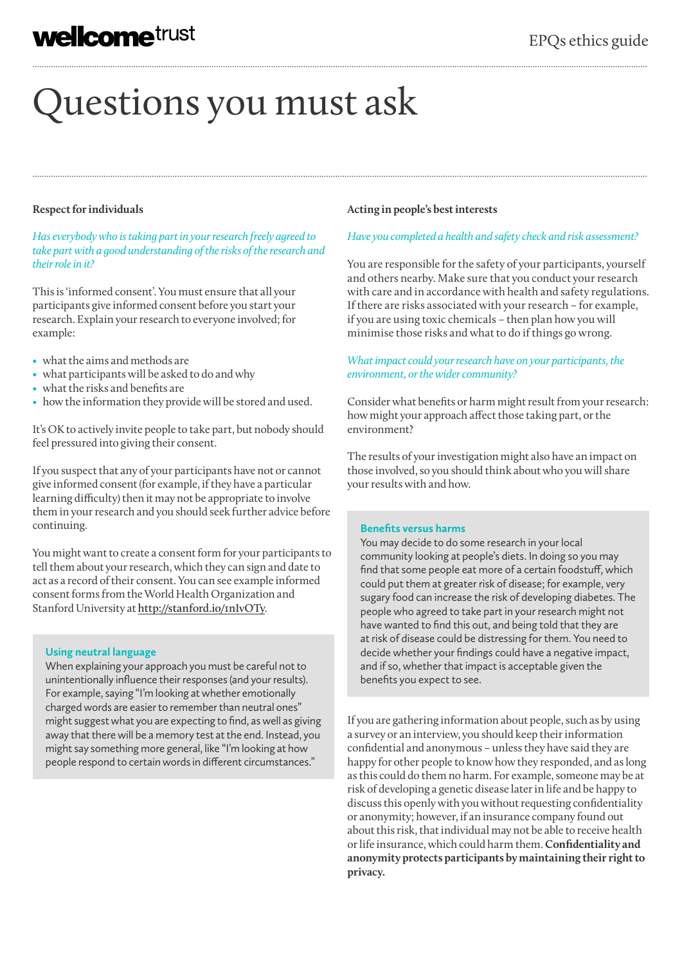# Questions you must ask

#### **Respect for individuals**

*Has everybody who is taking part in your research freely agreed to take part with a good understanding of the risks of the research and their role in it?*

This is 'informed consent'. You must ensure that all your participants give informed consent before you start your research. Explain your research to everyone involved; for example:

- what the aims and methods are
- what participants will be asked to do and why
- what the risks and benefits are
- how the information they provide will be stored and used.

It's OK to actively invite people to take part, but nobody should feel pressured into giving their consent.

If you suspect that any of your participants have not or cannot give informed consent (for example, if they have a particular learning difficulty) then it may not be appropriate to involve them in your research and you should seek further advice before continuing.

You might want to create a consent form for your participants to tell them about your research, which they can sign and date to act as a record of their consent. You can see example informed consent forms from the World Health Organization and Stanford University at **http://stanford.io/1nIvOTy**.

#### **Using neutral language**

When explaining your approach you must be careful not to unintentionally influence their responses (and your results). For example, saying "I'm looking at whether emotionally charged words are easier to remember than neutral ones" might suggest what you are expecting to find, as well as giving away that there will be a memory test at the end. Instead, you might say something more general, like "I'm looking at how people respond to certain words in different circumstances."

#### **Acting in people's best interests**

#### *Have you completed a health and safety check and risk assessment?*

You are responsible for the safety of your participants, yourself and others nearby. Make sure that you conduct your research with care and in accordance with health and safety regulations. If there are risks associated with your research – for example, if you are using toxic chemicals – then plan how you will minimise those risks and what to do if things go wrong.

#### *What impact could your research have on your participants, the environment, or the wider community?*

Consider what benefits or harm might result from your research: how might your approach affect those taking part, or the environment?

The results of your investigation might also have an impact on those involved, so you should think about who you will share your results with and how.

#### **Benefits versus harms**

You may decide to do some research in your local community looking at people's diets. In doing so you may find that some people eat more of a certain foodstuff, which could put them at greater risk of disease; for example, very sugary food can increase the risk of developing diabetes. The people who agreed to take part in your research might not have wanted to find this out, and being told that they are at risk of disease could be distressing for them. You need to decide whether your findings could have a negative impact, and if so, whether that impact is acceptable given the benefits you expect to see.

If you are gathering information about people, such as by using a survey or an interview, you should keep their information confidential and anonymous – unless they have said they are happy for other people to know how they responded, and as long as this could do them no harm. For example, someone may be at risk of developing a genetic disease later in life and be happy to discuss this openly with you without requesting confidentiality or anonymity; however, if an insurance company found out about this risk, that individual may not be able to receive health or life insurance, which could harm them. **Confidentiality and anonymity protects participants by maintaining their right to privacy.**